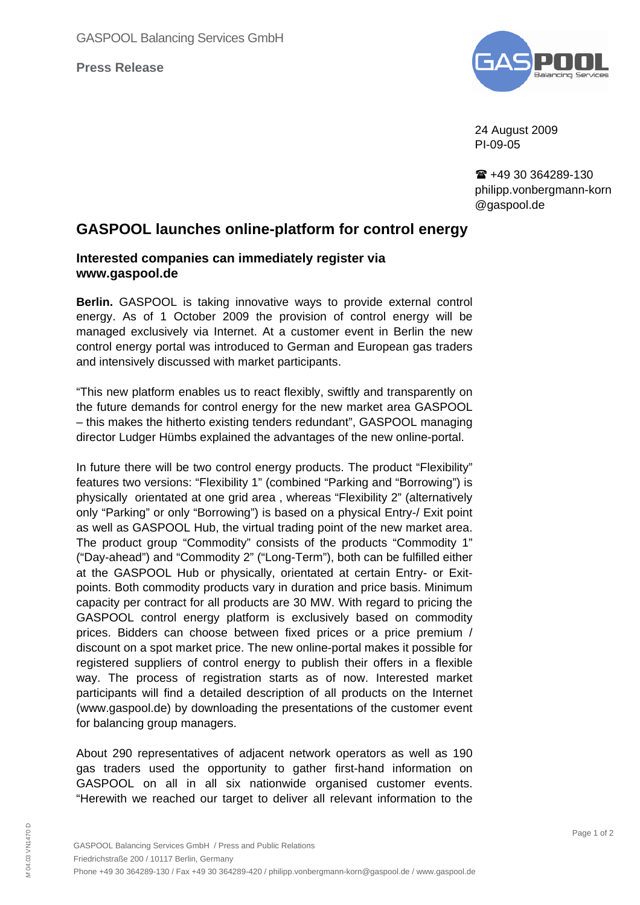**Press Release**



24 August 2009 PI-09-05

 $\textbf{R}$  +49 30 364289-130 philipp.vonbergmann-korn @gaspool.de

## **GASPOOL launches online-platform for control energy**

## **Interested companies can immediately register via www.gaspool.de**

**Berlin.** GASPOOL is taking innovative ways to provide external control energy. As of 1 October 2009 the provision of control energy will be managed exclusively via Internet. At a customer event in Berlin the new control energy portal was introduced to German and European gas traders and intensively discussed with market participants.

"This new platform enables us to react flexibly, swiftly and transparently on the future demands for control energy for the new market area GASPOOL – this makes the hitherto existing tenders redundant", GASPOOL managing director Ludger Hümbs explained the advantages of the new online-portal.

In future there will be two control energy products. The product "Flexibility" features two versions: "Flexibility 1" (combined "Parking and "Borrowing") is physically orientated at one grid area , whereas "Flexibility 2" (alternatively only "Parking" or only "Borrowing") is based on a physical Entry-/ Exit point as well as GASPOOL Hub, the virtual trading point of the new market area. The product group "Commodity" consists of the products "Commodity 1" ("Day-ahead") and "Commodity 2" ("Long-Term"), both can be fulfilled either at the GASPOOL Hub or physically, orientated at certain Entry- or Exitpoints. Both commodity products vary in duration and price basis. Minimum capacity per contract for all products are 30 MW. With regard to pricing the GASPOOL control energy platform is exclusively based on commodity prices. Bidders can choose between fixed prices or a price premium / discount on a spot market price. The new online-portal makes it possible for registered suppliers of control energy to publish their offers in a flexible way. The process of registration starts as of now. Interested market participants will find a detailed description of all products on the Internet (www.gaspool.de) by downloading the presentations of the customer event for balancing group managers.

About 290 representatives of adjacent network operators as well as 190 gas traders used the opportunity to gather first-hand information on GASPOOL on all in all six nationwide organised customer events. "Herewith we reached our target to deliver all relevant information to the